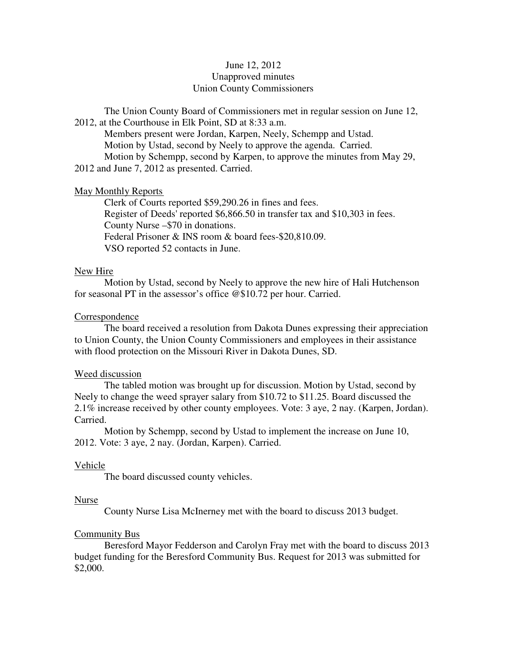# June 12, 2012 Unapproved minutes Union County Commissioners

The Union County Board of Commissioners met in regular session on June 12, 2012, at the Courthouse in Elk Point, SD at 8:33 a.m.

 Members present were Jordan, Karpen, Neely, Schempp and Ustad. Motion by Ustad, second by Neely to approve the agenda. Carried. Motion by Schempp, second by Karpen, to approve the minutes from May 29,

2012 and June 7, 2012 as presented. Carried.

### May Monthly Reports

 Clerk of Courts reported \$59,290.26 in fines and fees. Register of Deeds' reported \$6,866.50 in transfer tax and \$10,303 in fees. County Nurse –\$70 in donations. Federal Prisoner & INS room & board fees-\$20,810.09. VSO reported 52 contacts in June.

### New Hire

 Motion by Ustad, second by Neely to approve the new hire of Hali Hutchenson for seasonal PT in the assessor's office @\$10.72 per hour. Carried.

### Correspondence

 The board received a resolution from Dakota Dunes expressing their appreciation to Union County, the Union County Commissioners and employees in their assistance with flood protection on the Missouri River in Dakota Dunes, SD.

### Weed discussion

 The tabled motion was brought up for discussion. Motion by Ustad, second by Neely to change the weed sprayer salary from \$10.72 to \$11.25. Board discussed the 2.1% increase received by other county employees. Vote: 3 aye, 2 nay. (Karpen, Jordan). Carried.

 Motion by Schempp, second by Ustad to implement the increase on June 10, 2012. Vote: 3 aye, 2 nay. (Jordan, Karpen). Carried.

# Vehicle

The board discussed county vehicles.

### Nurse

County Nurse Lisa McInerney met with the board to discuss 2013 budget.

# Community Bus

 Beresford Mayor Fedderson and Carolyn Fray met with the board to discuss 2013 budget funding for the Beresford Community Bus. Request for 2013 was submitted for \$2,000.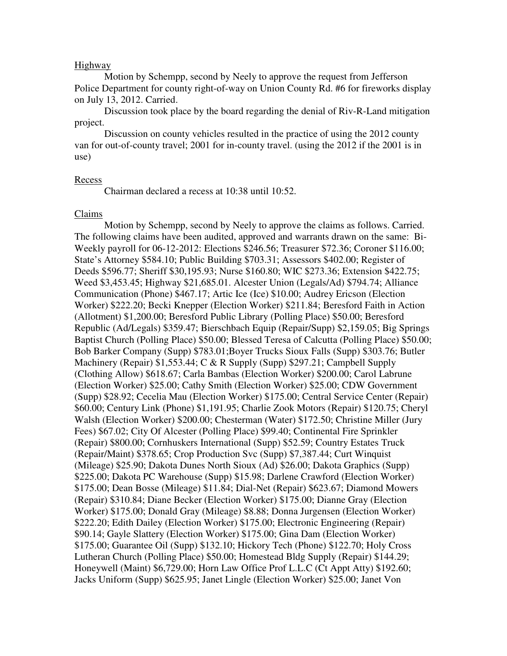### Highway

 Motion by Schempp, second by Neely to approve the request from Jefferson Police Department for county right-of-way on Union County Rd. #6 for fireworks display on July 13, 2012. Carried.

Discussion took place by the board regarding the denial of Riv-R-Land mitigation project.

 Discussion on county vehicles resulted in the practice of using the 2012 county van for out-of-county travel; 2001 for in-county travel. (using the 2012 if the 2001 is in use)

#### Recess

Chairman declared a recess at 10:38 until 10:52.

#### Claims

 Motion by Schempp, second by Neely to approve the claims as follows. Carried. The following claims have been audited, approved and warrants drawn on the same: Bi-Weekly payroll for 06-12-2012: Elections \$246.56; Treasurer \$72.36; Coroner \$116.00; State's Attorney \$584.10; Public Building \$703.31; Assessors \$402.00; Register of Deeds \$596.77; Sheriff \$30,195.93; Nurse \$160.80; WIC \$273.36; Extension \$422.75; Weed \$3,453.45; Highway \$21,685.01. Alcester Union (Legals/Ad) \$794.74; Alliance Communication (Phone) \$467.17; Artic Ice (Ice) \$10.00; Audrey Ericson (Election Worker) \$222.20; Becki Knepper (Election Worker) \$211.84; Beresford Faith in Action (Allotment) \$1,200.00; Beresford Public Library (Polling Place) \$50.00; Beresford Republic (Ad/Legals) \$359.47; Bierschbach Equip (Repair/Supp) \$2,159.05; Big Springs Baptist Church (Polling Place) \$50.00; Blessed Teresa of Calcutta (Polling Place) \$50.00; Bob Barker Company (Supp) \$783.01;Boyer Trucks Sioux Falls (Supp) \$303.76; Butler Machinery (Repair) \$1,553.44; C & R Supply (Supp) \$297.21; Campbell Supply (Clothing Allow) \$618.67; Carla Bambas (Election Worker) \$200.00; Carol Labrune (Election Worker) \$25.00; Cathy Smith (Election Worker) \$25.00; CDW Government (Supp) \$28.92; Cecelia Mau (Election Worker) \$175.00; Central Service Center (Repair) \$60.00; Century Link (Phone) \$1,191.95; Charlie Zook Motors (Repair) \$120.75; Cheryl Walsh (Election Worker) \$200.00; Chesterman (Water) \$172.50; Christine Miller (Jury Fees) \$67.02; City Of Alcester (Polling Place) \$99.40; Continental Fire Sprinkler (Repair) \$800.00; Cornhuskers International (Supp) \$52.59; Country Estates Truck (Repair/Maint) \$378.65; Crop Production Svc (Supp) \$7,387.44; Curt Winquist (Mileage) \$25.90; Dakota Dunes North Sioux (Ad) \$26.00; Dakota Graphics (Supp) \$225.00; Dakota PC Warehouse (Supp) \$15.98; Darlene Crawford (Election Worker) \$175.00; Dean Bosse (Mileage) \$11.84; Dial-Net (Repair) \$623.67; Diamond Mowers (Repair) \$310.84; Diane Becker (Election Worker) \$175.00; Dianne Gray (Election Worker) \$175.00; Donald Gray (Mileage) \$8.88; Donna Jurgensen (Election Worker) \$222.20; Edith Dailey (Election Worker) \$175.00; Electronic Engineering (Repair) \$90.14; Gayle Slattery (Election Worker) \$175.00; Gina Dam (Election Worker) \$175.00; Guarantee Oil (Supp) \$132.10; Hickory Tech (Phone) \$122.70; Holy Cross Lutheran Church (Polling Place) \$50.00; Homestead Bldg Supply (Repair) \$144.29; Honeywell (Maint) \$6,729.00; Horn Law Office Prof L.L.C (Ct Appt Atty) \$192.60; Jacks Uniform (Supp) \$625.95; Janet Lingle (Election Worker) \$25.00; Janet Von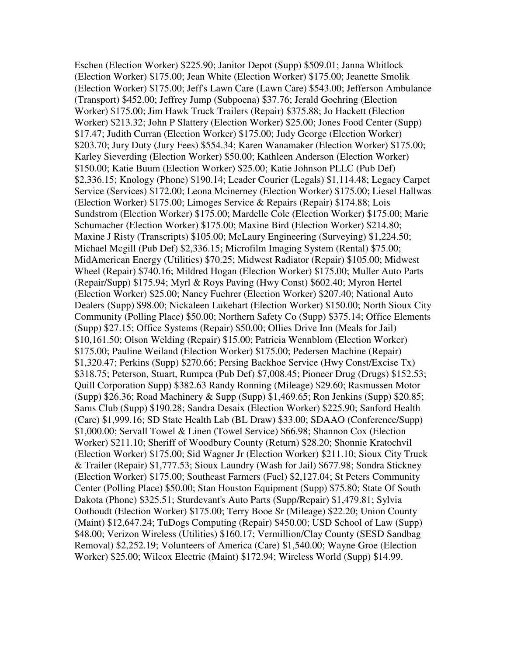Eschen (Election Worker) \$225.90; Janitor Depot (Supp) \$509.01; Janna Whitlock (Election Worker) \$175.00; Jean White (Election Worker) \$175.00; Jeanette Smolik (Election Worker) \$175.00; Jeff's Lawn Care (Lawn Care) \$543.00; Jefferson Ambulance (Transport) \$452.00; Jeffrey Jump (Subpoena) \$37.76; Jerald Goehring (Election Worker) \$175.00; Jim Hawk Truck Trailers (Repair) \$375.88; Jo Hackett (Election Worker) \$213.32; John P Slattery (Election Worker) \$25.00; Jones Food Center (Supp) \$17.47; Judith Curran (Election Worker) \$175.00; Judy George (Election Worker) \$203.70; Jury Duty (Jury Fees) \$554.34; Karen Wanamaker (Election Worker) \$175.00; Karley Sieverding (Election Worker) \$50.00; Kathleen Anderson (Election Worker) \$150.00; Katie Buum (Election Worker) \$25.00; Katie Johnson PLLC (Pub Def) \$2,336.15; Knology (Phone) \$190.14; Leader Courier (Legals) \$1,114.48; Legacy Carpet Service (Services) \$172.00; Leona Mcinerney (Election Worker) \$175.00; Liesel Hallwas (Election Worker) \$175.00; Limoges Service & Repairs (Repair) \$174.88; Lois Sundstrom (Election Worker) \$175.00; Mardelle Cole (Election Worker) \$175.00; Marie Schumacher (Election Worker) \$175.00; Maxine Bird (Election Worker) \$214.80; Maxine J Risty (Transcripts) \$105.00; McLaury Engineering (Surveying) \$1,224.50; Michael Mcgill (Pub Def) \$2,336.15; Microfilm Imaging System (Rental) \$75.00; MidAmerican Energy (Utilities) \$70.25; Midwest Radiator (Repair) \$105.00; Midwest Wheel (Repair) \$740.16; Mildred Hogan (Election Worker) \$175.00; Muller Auto Parts (Repair/Supp) \$175.94; Myrl & Roys Paving (Hwy Const) \$602.40; Myron Hertel (Election Worker) \$25.00; Nancy Fuehrer (Election Worker) \$207.40; National Auto Dealers (Supp) \$98.00; Nickaleen Lukehart (Election Worker) \$150.00; North Sioux City Community (Polling Place) \$50.00; Northern Safety Co (Supp) \$375.14; Office Elements (Supp) \$27.15; Office Systems (Repair) \$50.00; Ollies Drive Inn (Meals for Jail) \$10,161.50; Olson Welding (Repair) \$15.00; Patricia Wennblom (Election Worker) \$175.00; Pauline Weiland (Election Worker) \$175.00; Pedersen Machine (Repair) \$1,320.47; Perkins (Supp) \$270.66; Persing Backhoe Service (Hwy Const/Excise Tx) \$318.75; Peterson, Stuart, Rumpca (Pub Def) \$7,008.45; Pioneer Drug (Drugs) \$152.53; Quill Corporation Supp) \$382.63 Randy Ronning (Mileage) \$29.60; Rasmussen Motor (Supp) \$26.36; Road Machinery & Supp (Supp) \$1,469.65; Ron Jenkins (Supp) \$20.85; Sams Club (Supp) \$190.28; Sandra Desaix (Election Worker) \$225.90; Sanford Health (Care) \$1,999.16; SD State Health Lab (BL Draw) \$33.00; SDAAO (Conference/Supp) \$1,000.00; Servall Towel & Linen (Towel Service) \$66.98; Shannon Cox (Election Worker) \$211.10; Sheriff of Woodbury County (Return) \$28.20; Shonnie Kratochvil (Election Worker) \$175.00; Sid Wagner Jr (Election Worker) \$211.10; Sioux City Truck & Trailer (Repair) \$1,777.53; Sioux Laundry (Wash for Jail) \$677.98; Sondra Stickney (Election Worker) \$175.00; Southeast Farmers (Fuel) \$2,127.04; St Peters Community Center (Polling Place) \$50.00; Stan Houston Equipment (Supp) \$75.80; State Of South Dakota (Phone) \$325.51; Sturdevant's Auto Parts (Supp/Repair) \$1,479.81; Sylvia Oothoudt (Election Worker) \$175.00; Terry Booe Sr (Mileage) \$22.20; Union County (Maint) \$12,647.24; TuDogs Computing (Repair) \$450.00; USD School of Law (Supp) \$48.00; Verizon Wireless (Utilities) \$160.17; Vermillion/Clay County (SESD Sandbag Removal) \$2,252.19; Volunteers of America (Care) \$1,540.00; Wayne Groe (Election Worker) \$25.00; Wilcox Electric (Maint) \$172.94; Wireless World (Supp) \$14.99.